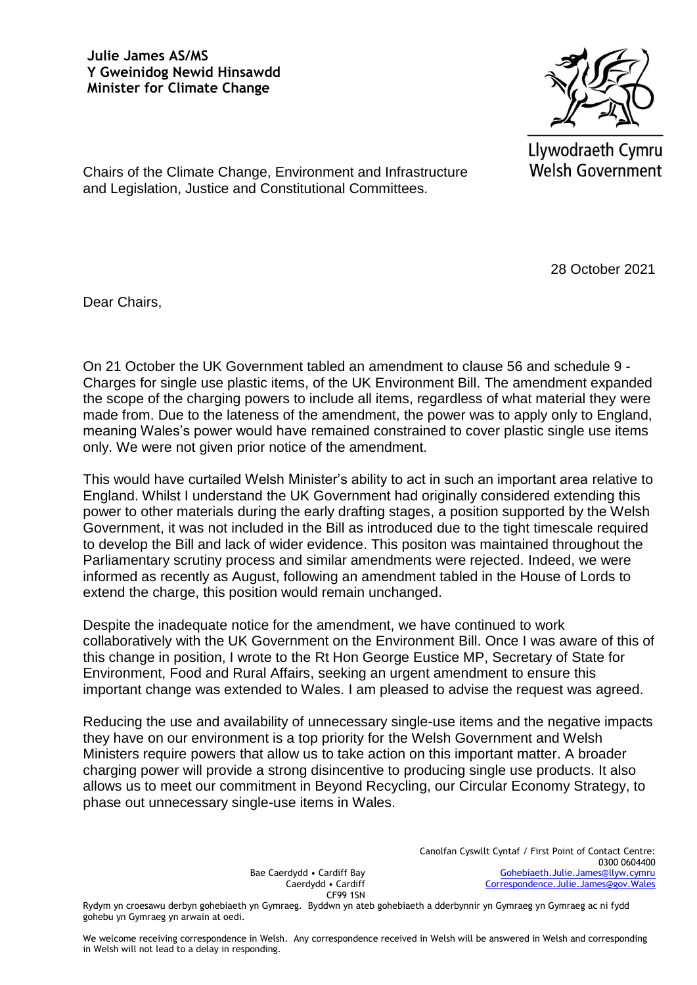## **Julie James AS/MS Y Gweinidog Newid Hinsawdd Minister for Climate Change**



Llywodraeth Cymru **Welsh Government** 

Chairs of the Climate Change, Environment and Infrastructure and Legislation, Justice and Constitutional Committees.

28 October 2021

Dear Chairs,

On 21 October the UK Government tabled an amendment to clause 56 and schedule 9 - Charges for single use plastic items, of the UK Environment Bill. The amendment expanded the scope of the charging powers to include all items, regardless of what material they were made from. Due to the lateness of the amendment, the power was to apply only to England, meaning Wales's power would have remained constrained to cover plastic single use items only. We were not given prior notice of the amendment.

This would have curtailed Welsh Minister's ability to act in such an important area relative to England. Whilst I understand the UK Government had originally considered extending this power to other materials during the early drafting stages, a position supported by the Welsh Government, it was not included in the Bill as introduced due to the tight timescale required to develop the Bill and lack of wider evidence. This positon was maintained throughout the Parliamentary scrutiny process and similar amendments were rejected. Indeed, we were informed as recently as August, following an amendment tabled in the House of Lords to extend the charge, this position would remain unchanged.

Despite the inadequate notice for the amendment, we have continued to work collaboratively with the UK Government on the Environment Bill. Once I was aware of this of this change in position, I wrote to the Rt Hon George Eustice MP, Secretary of State for Environment, Food and Rural Affairs, seeking an urgent amendment to ensure this important change was extended to Wales. I am pleased to advise the request was agreed.

Reducing the use and availability of unnecessary single-use items and the negative impacts they have on our environment is a top priority for the Welsh Government and Welsh Ministers require powers that allow us to take action on this important matter. A broader charging power will provide a strong disincentive to producing single use products. It also allows us to meet our commitment in Beyond Recycling, our Circular Economy Strategy, to phase out unnecessary single-use items in Wales.

> Bae Caerdydd • Cardiff Bay Caerdydd • Cardiff CF99 1SN

Canolfan Cyswllt Cyntaf / First Point of Contact Centre: 0300 0604400 [Gohebiaeth.Julie.James@llyw.cymru](mailto:Gohebiaeth.Julie.James@llyw.cymru) [Correspondence.Julie.James@gov.Wales](mailto:Correspondence.Julie.James@gov.Wales)

Rydym yn croesawu derbyn gohebiaeth yn Gymraeg. Byddwn yn ateb gohebiaeth a dderbynnir yn Gymraeg yn Gymraeg ac ni fydd gohebu yn Gymraeg yn arwain at oedi.

We welcome receiving correspondence in Welsh. Any correspondence received in Welsh will be answered in Welsh and corresponding in Welsh will not lead to a delay in responding.